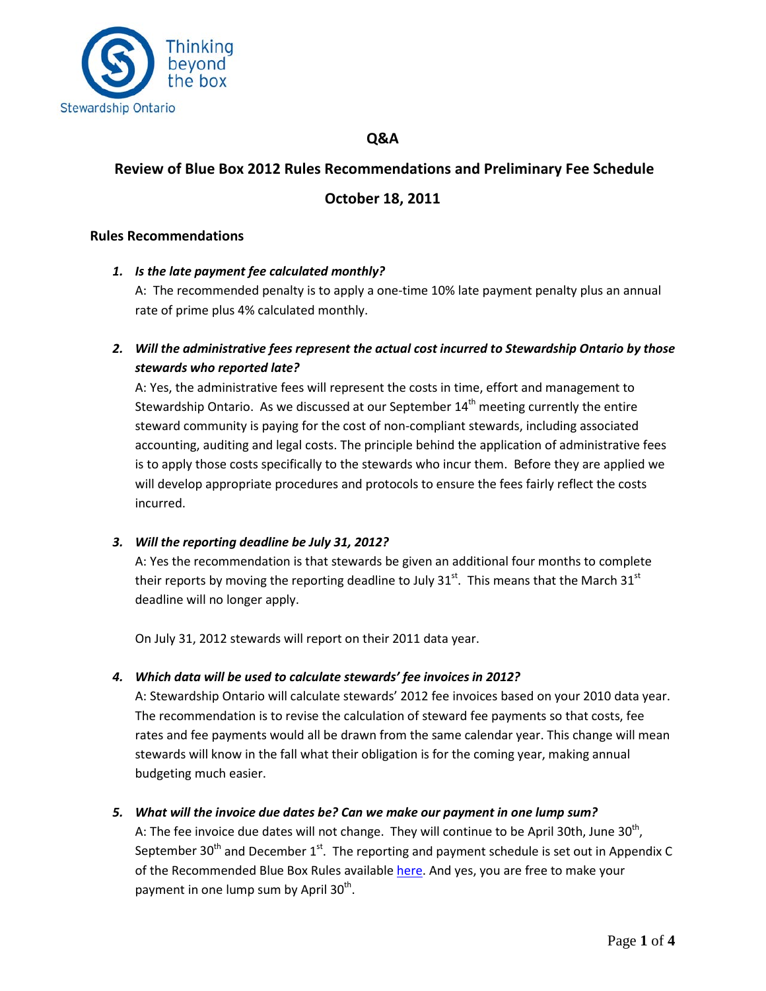

### **Q&A**

# **Review of Blue Box 2012 Rules Recommendations and Preliminary Fee Schedule**

# **October 18, 2011**

#### **Rules Recommendations**

*1. Is the late payment fee calculated monthly?*

A: The recommended penalty is to apply a one-time 10% late payment penalty plus an annual rate of prime plus 4% calculated monthly.

*2. Will the administrative fees represent the actual cost incurred to Stewardship Ontario by those stewards who reported late?*

A: Yes, the administrative fees will represent the costs in time, effort and management to Stewardship Ontario. As we discussed at our September  $14<sup>th</sup>$  meeting currently the entire steward community is paying for the cost of non-compliant stewards, including associated accounting, auditing and legal costs. The principle behind the application of administrative fees is to apply those costs specifically to the stewards who incur them. Before they are applied we will develop appropriate procedures and protocols to ensure the fees fairly reflect the costs incurred.

#### *3. Will the reporting deadline be July 31, 2012?*

A: Yes the recommendation is that stewards be given an additional four months to complete their reports by moving the reporting deadline to July 31 $^{st}$ . This means that the March 31 $^{st}$ deadline will no longer apply.

On July 31, 2012 stewards will report on their 2011 data year.

#### *4. Which data will be used to calculate stewards' fee invoices in 2012?*

A: Stewardship Ontario will calculate stewards' 2012 fee invoices based on your 2010 data year. The recommendation is to revise the calculation of steward fee payments so that costs, fee rates and fee payments would all be drawn from the same calendar year. This change will mean stewards will know in the fall what their obligation is for the coming year, making annual budgeting much easier.

#### *5. What will the invoice due dates be? Can we make our payment in one lump sum?*

A: The fee invoice due dates will not change. They will continue to be April 30th, June  $30<sup>th</sup>$ , September 30<sup>th</sup> and December  $1<sup>st</sup>$ . The reporting and payment schedule is set out in Appendix C of the Recommended Blue Box Rules available [here.](http://www.stewardshipontario.ca/sites/default/files/Proposed%202012%20Blue%20Box%20Rules_FINAL_MKC_October%2019.pdf) And yes, you are free to make your payment in one lump sum by April  $30<sup>th</sup>$ .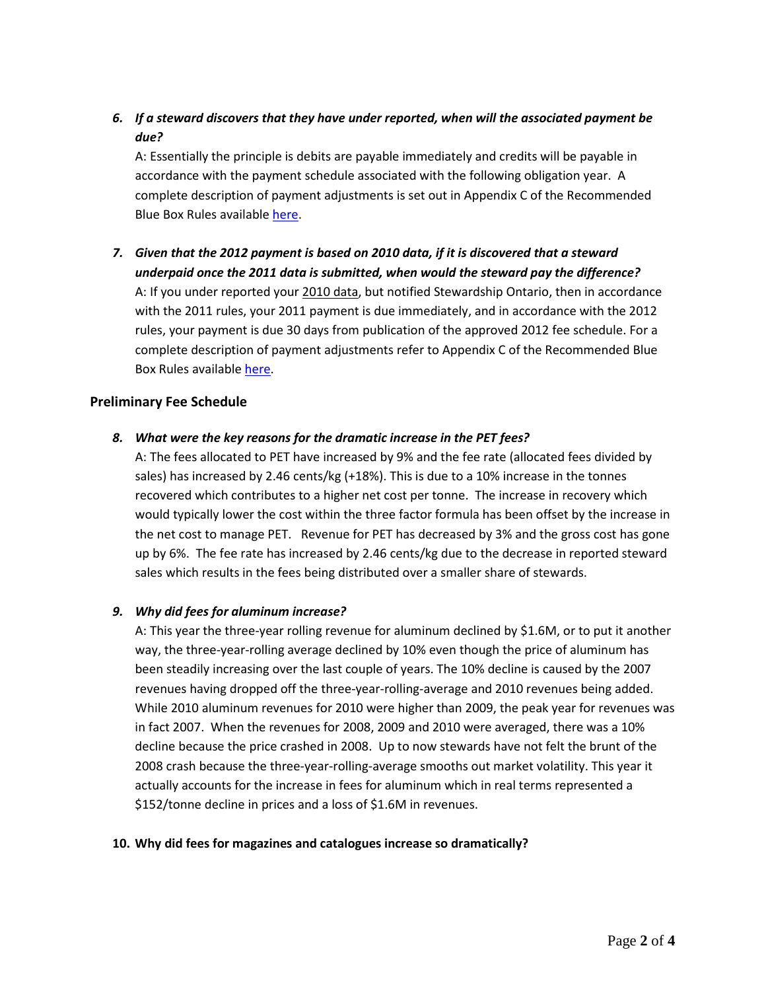*6. If a steward discovers that they have under reported, when will the associated payment be due?*

A: Essentially the principle is debits are payable immediately and credits will be payable in accordance with the payment schedule associated with the following obligation year. A complete description of payment adjustments is set out in Appendix C of the Recommended Blue Box Rules available [here.](http://www.stewardshipontario.ca/sites/default/files/Proposed%202012%20Blue%20Box%20Rules_FINAL_MKC_October%2019.pdf)

*7. Given that the 2012 payment is based on 2010 data, if it is discovered that a steward underpaid once the 2011 data is submitted, when would the steward pay the difference?* A: If you under reported your 2010 data, but notified Stewardship Ontario, then in accordance with the 2011 rules, your 2011 payment is due immediately, and in accordance with the 2012 rules, your payment is due 30 days from publication of the approved 2012 fee schedule. For a complete description of payment adjustments refer to Appendix C of the Recommended Blue Box Rules availabl[e here.](http://www.stewardshipontario.ca/sites/default/files/Proposed%202012%20Blue%20Box%20Rules_FINAL_MKC_October%2019.pdf)

### **Preliminary Fee Schedule**

#### *8. What were the key reasons for the dramatic increase in the PET fees?*

A: The fees allocated to PET have increased by 9% and the fee rate (allocated fees divided by sales) has increased by 2.46 cents/kg (+18%). This is due to a 10% increase in the tonnes recovered which contributes to a higher net cost per tonne. The increase in recovery which would typically lower the cost within the three factor formula has been offset by the increase in the net cost to manage PET. Revenue for PET has decreased by 3% and the gross cost has gone up by 6%. The fee rate has increased by 2.46 cents/kg due to the decrease in reported steward sales which results in the fees being distributed over a smaller share of stewards.

#### *9. Why did fees for aluminum increase?*

A: This year the three-year rolling revenue for aluminum declined by \$1.6M, or to put it another way, the three-year-rolling average declined by 10% even though the price of aluminum has been steadily increasing over the last couple of years. The 10% decline is caused by the 2007 revenues having dropped off the three-year-rolling-average and 2010 revenues being added. While 2010 aluminum revenues for 2010 were higher than 2009, the peak year for revenues was in fact 2007. When the revenues for 2008, 2009 and 2010 were averaged, there was a 10% decline because the price crashed in 2008. Up to now stewards have not felt the brunt of the 2008 crash because the three-year-rolling-average smooths out market volatility. This year it actually accounts for the increase in fees for aluminum which in real terms represented a \$152/tonne decline in prices and a loss of \$1.6M in revenues.

#### **10. Why did fees for magazines and catalogues increase so dramatically?**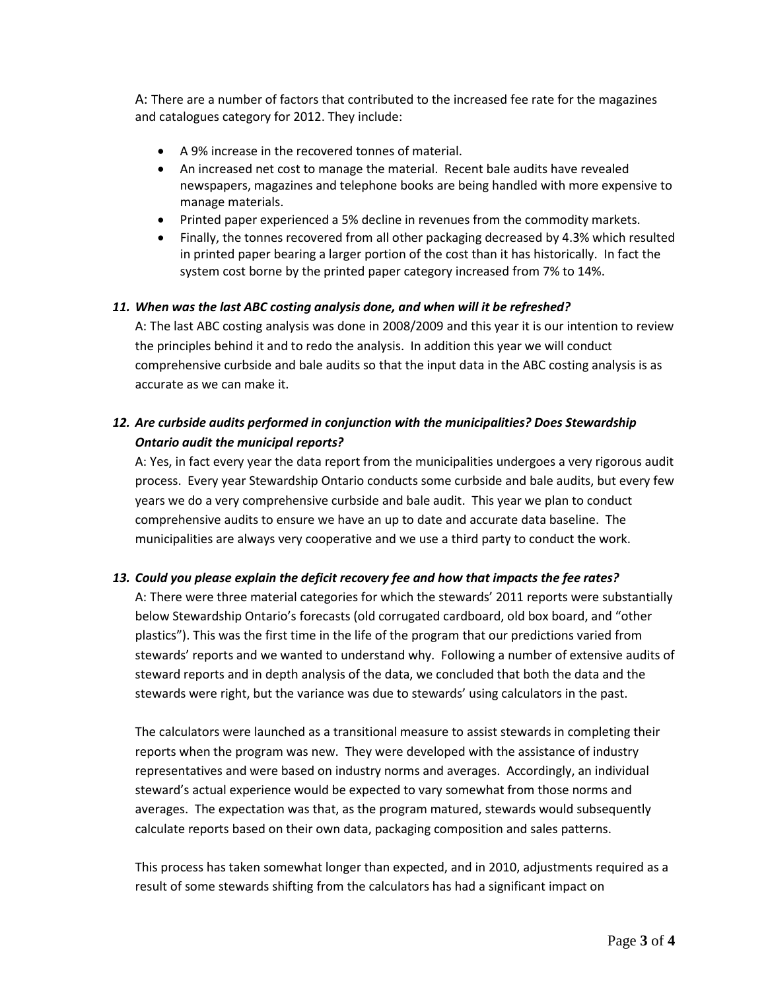A: There are a number of factors that contributed to the increased fee rate for the magazines and catalogues category for 2012. They include:

- A 9% increase in the recovered tonnes of material.
- An increased net cost to manage the material. Recent bale audits have revealed newspapers, magazines and telephone books are being handled with more expensive to manage materials.
- Printed paper experienced a 5% decline in revenues from the commodity markets.
- Finally, the tonnes recovered from all other packaging decreased by 4.3% which resulted in printed paper bearing a larger portion of the cost than it has historically. In fact the system cost borne by the printed paper category increased from 7% to 14%.

#### *11. When was the last ABC costing analysis done, and when will it be refreshed?*

A: The last ABC costing analysis was done in 2008/2009 and this year it is our intention to review the principles behind it and to redo the analysis. In addition this year we will conduct comprehensive curbside and bale audits so that the input data in the ABC costing analysis is as accurate as we can make it.

# *12. Are curbside audits performed in conjunction with the municipalities? Does Stewardship Ontario audit the municipal reports?*

A: Yes, in fact every year the data report from the municipalities undergoes a very rigorous audit process. Every year Stewardship Ontario conducts some curbside and bale audits, but every few years we do a very comprehensive curbside and bale audit. This year we plan to conduct comprehensive audits to ensure we have an up to date and accurate data baseline. The municipalities are always very cooperative and we use a third party to conduct the work.

#### *13. Could you please explain the deficit recovery fee and how that impacts the fee rates?*

A: There were three material categories for which the stewards' 2011 reports were substantially below Stewardship Ontario's forecasts (old corrugated cardboard, old box board, and "other plastics"). This was the first time in the life of the program that our predictions varied from stewards' reports and we wanted to understand why. Following a number of extensive audits of steward reports and in depth analysis of the data, we concluded that both the data and the stewards were right, but the variance was due to stewards' using calculators in the past.

The calculators were launched as a transitional measure to assist stewards in completing their reports when the program was new. They were developed with the assistance of industry representatives and were based on industry norms and averages. Accordingly, an individual steward's actual experience would be expected to vary somewhat from those norms and averages. The expectation was that, as the program matured, stewards would subsequently calculate reports based on their own data, packaging composition and sales patterns.

This process has taken somewhat longer than expected, and in 2010, adjustments required as a result of some stewards shifting from the calculators has had a significant impact on